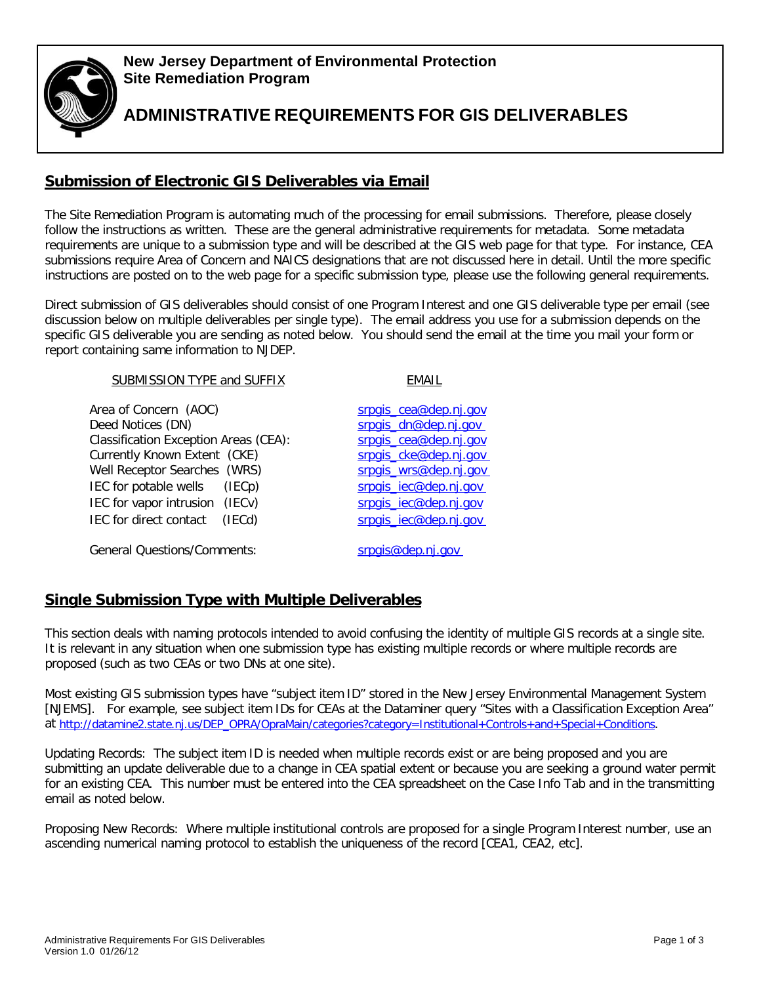

### **New Jersey Department of Environmental Protection Site Remediation Program**

**ADMINISTRATIVE REQUIREMENTS FOR GIS DELIVERABLES**

# **Submission of Electronic GIS Deliverables via Email**

The Site Remediation Program is automating much of the processing for email submissions. Therefore, please closely follow the instructions as written. These are the general administrative requirements for metadata. Some metadata requirements are unique to a submission type and will be described at the GIS web page for that type. For instance, CEA submissions require Area of Concern and NAICS designations that are not discussed here in detail. Until the more specific instructions are posted on to the web page for a specific submission type, please use the following general requirements.

Direct submission of GIS deliverables should consist of one Program Interest and one GIS deliverable type per email (see discussion below on multiple deliverables per single type). The email address you use for a submission depends on the specific GIS deliverable you are sending as noted below. You should send the email at the time you mail your form or report containing same information to NJDEP.

| <b>SUBMISSION TYPE and SUFFIX</b>                                 | <b>FMAII</b>                                  |
|-------------------------------------------------------------------|-----------------------------------------------|
| Area of Concern (AOC)                                             | srpgis_cea@dep.nj.gov                         |
| Deed Notices (DN)<br><b>Classification Exception Areas (CEA):</b> | srpais dn@dep.nj.gov<br>srpgis cea@dep.nj.gov |
| Currently Known Extent (CKE)                                      | srpgis_cke@dep.nj.gov                         |
| Well Receptor Searches (WRS)                                      | srpgis_wrs@dep.nj.gov                         |
| IEC for potable wells<br>(IECp)                                   | srpgis_iec@dep.nj.gov                         |
| IEC for vapor intrusion (IECv)                                    | srpgis_jec@dep.nj.gov                         |
| IEC for direct contact<br>(IECd)                                  | srpgis_iec@dep.nj.gov                         |
| <b>General Questions/Comments:</b>                                | srpgis@dep.nj.gov                             |

## **Single Submission Type with Multiple Deliverables**

This section deals with naming protocols intended to avoid confusing the identity of multiple GIS records at a single site. It is relevant in any situation when one submission type has existing multiple records or where multiple records are proposed (such as two CEAs or two DNs at one site).

Most existing GIS submission types have "subject item ID" stored in the New Jersey Environmental Management System [NJEMS]. For example, see subject item IDs for CEAs at the Dataminer query "Sites with a Classification Exception Area" at [http://datamine2.state.nj.us/DEP\\_OPRA/OpraMain/categories?category=Institutional+Controls+and+Special+Conditions.](http://datamine2.state.nj.us/DEP_OPRA/OpraMain/categories?category=Institutional%2BControls%2Band%2BSpecial%2BConditions)

Updating Records: The subject item ID is needed when multiple records exist or are being proposed and you are submitting an update deliverable due to a change in CEA spatial extent or because you are seeking a ground water permit for an existing CEA. This number must be entered into the CEA spreadsheet on the Case Info Tab and in the transmitting email as noted below.

Proposing New Records: Where multiple institutional controls are proposed for a single Program Interest number, use an ascending numerical naming protocol to establish the uniqueness of the record [CEA1, CEA2, etc].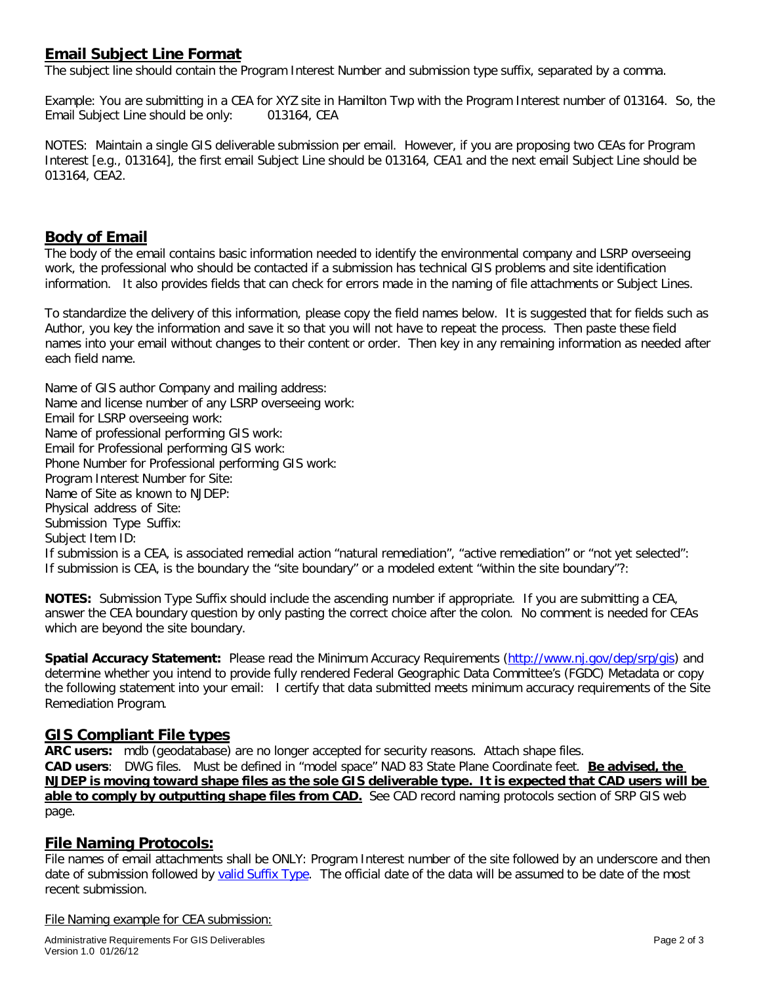## **Email Subject Line Format**

The subject line should contain the Program Interest Number and submission type suffix, separated by a comma.

Example: You are submitting in a CEA for XYZ site in Hamilton Twp with the Program Interest number of 013164. So, the Email Subject Line should be only: 013164, CEA

NOTES: Maintain a single GIS deliverable submission per email. However, if you are proposing two CEAs for Program Interest [e.g., 013164], the first email Subject Line should be 013164, CEA1 and the next email Subject Line should be 013164, CEA2.

### **Body of Email**

The body of the email contains basic information needed to identify the environmental company and LSRP overseeing work, the professional who should be contacted if a submission has technical GIS problems and site identification information. It also provides fields that can check for errors made in the naming of file attachments or Subject Lines.

To standardize the delivery of this information, please copy the field names below. It is suggested that for fields such as Author, you key the information and save it so that you will not have to repeat the process. Then paste these field names into your email without changes to their content or order. Then key in any remaining information as needed after each field name.

Name of GIS author Company and mailing address: Name and license number of any LSRP overseeing work: Email for LSRP overseeing work: Name of professional performing GIS work: Email for Professional performing GIS work: Phone Number for Professional performing GIS work: Program Interest Number for Site: Name of Site as known to NJDEP: Physical address of Site: Submission Type Suffix: Subject Item ID: If submission is a CEA, is associated remedial action "natural remediation", "active remediation" or "not yet selected": If submission is CEA, is the boundary the "site boundary" or a modeled extent "within the site boundary"?:

**NOTES:** Submission Type Suffix should include the ascending number if appropriate. If you are submitting a CEA, answer the CEA boundary question by only pasting the correct choice after the colon. No comment is needed for CEAs which are beyond the site boundary.

**Spatial Accuracy Statement:** Please read the Minimum Accuracy Requirements [\(http://www.nj.gov/dep/srp/gis\)](http://www.nj.gov/dep/srp/gis) and determine whether you intend to provide fully rendered Federal Geographic Data Committee's (FGDC) Metadata or copy the following statement into your email: I certify that data submitted meets minimum accuracy requirements of the Site Remediation Program.

### **GIS Compliant File types**

**ARC users:** mdb (geodatabase) are no longer accepted for security reasons. Attach shape files. **CAD users**: DWG files. Must be defined in "model space" NAD 83 State Plane Coordinate feet. **Be advised, the NJDEP is moving toward shape files as the sole GIS deliverable type. It is expected that CAD users will be able to comply by outputting shape files from CAD.** See CAD record naming protocols section of SRP GIS web page.

### **File Naming Protocols:**

File names of email attachments shall be ONLY: Program Interest number of the site followed by an underscore and then date of submission followed by valid Suffix Type. The official date of the data will be assumed to be date of the most recent submission.

File Naming example for CEA submission: